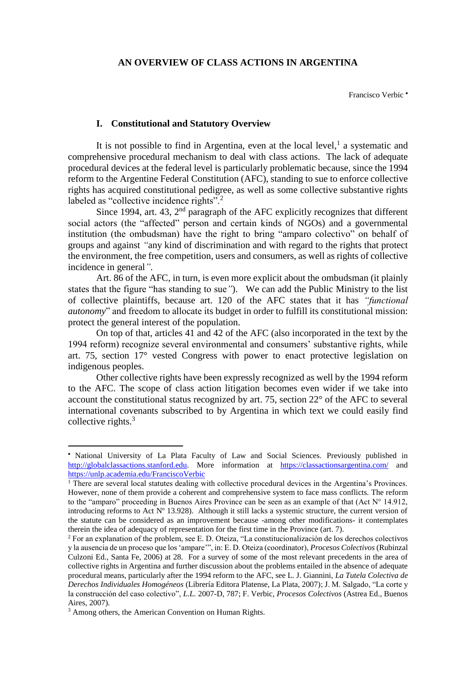## **AN OVERVIEW OF CLASS ACTIONS IN ARGENTINA**

Francisco Verbic •

## **I. Constitutional and Statutory Overview**

It is not possible to find in Argentina, even at the local level, $<sup>1</sup>$  a systematic and</sup> comprehensive procedural mechanism to deal with class actions. The lack of adequate procedural devices at the federal level is particularly problematic because, since the 1994 reform to the Argentine Federal Constitution (AFC), standing to sue to enforce collective rights has acquired constitutional pedigree, as well as some collective substantive rights labeled as "collective incidence rights".<sup>2</sup>

Since 1994, art. 43,  $2<sup>nd</sup>$  paragraph of the AFC explicitly recognizes that different social actors (the "affected" person and certain kinds of NGOs) and a governmental institution (the ombudsman) have the right to bring "amparo colectivo" on behalf of groups and against *"*any kind of discrimination and with regard to the rights that protect the environment, the free competition, users and consumers, as well as rights of collective incidence in general*"*.

Art. 86 of the AFC, in turn, is even more explicit about the ombudsman (it plainly states that the figure "has standing to sue*"*). We can add the Public Ministry to the list of collective plaintiffs, because art. 120 of the AFC states that it has *"functional autonomy*" and freedom to allocate its budget in order to fulfill its constitutional mission: protect the general interest of the population.

On top of that, articles 41 and 42 of the AFC (also incorporated in the text by the 1994 reform) recognize several environmental and consumers' substantive rights, while art. 75, section 17° vested Congress with power to enact protective legislation on indigenous peoples.

Other collective rights have been expressly recognized as well by the 1994 reform to the AFC. The scope of class action litigation becomes even wider if we take into account the constitutional status recognized by art. 75, section 22° of the AFC to several international covenants subscribed to by Argentina in which text we could easily find collective rights. $3$ 

1

<sup>•</sup> National University of La Plata Faculty of Law and Social Sciences. Previously published in [http://globalclassactions.stanford.edu.](http://globalclassactions.stanford.edu/) More information at <https://classactionsargentina.com/> and <https://unlp.academia.edu/FranciscoVerbic>

<sup>&</sup>lt;sup>1</sup> There are several local statutes dealing with collective procedural devices in the Argentina's Provinces. However, none of them provide a coherent and comprehensive system to face mass conflicts. The reform to the "amparo" proceeding in Buenos Aires Province can be seen as an example of that (Act N° 14.912, introducing reforms to Act Nº 13.928). Although it still lacks a systemic structure, the current version of the statute can be considered as an improvement because -among other modifications- it contemplates therein the idea of adequacy of representation for the first time in the Province (art. 7).

<sup>2</sup> For an explanation of the problem, see E. D. Oteiza, "La constitucionalización de los derechos colectivos y la ausencia de un proceso que los 'ampare'", in: E. D. Oteiza (coordinator), *Procesos Colectivos* (Rubinzal Culzoni Ed., Santa Fe, 2006) at 28. For a survey of some of the most relevant precedents in the area of collective rights in Argentina and further discussion about the problems entailed in the absence of adequate procedural means, particularly after the 1994 reform to the AFC, see L. J. Giannini, *La Tutela Colectiva de Derechos Individuales Homogéneos* (Librería Editora Platense, La Plata, 2007); J. M. Salgado, "La corte y la construcción del caso colectivo", *L.L.* 2007-D, 787; F. Verbic, *Procesos Colectivos* (Astrea Ed., Buenos Aires, 2007).

<sup>&</sup>lt;sup>3</sup> Among others, the American Convention on Human Rights.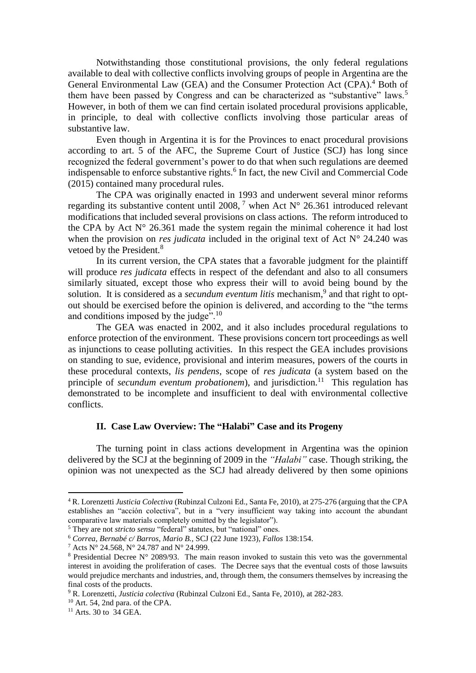Notwithstanding those constitutional provisions, the only federal regulations available to deal with collective conflicts involving groups of people in Argentina are the General Environmental Law (GEA) and the Consumer Protection Act (CPA). <sup>4</sup> Both of them have been passed by Congress and can be characterized as "substantive" laws.<sup>5</sup> However, in both of them we can find certain isolated procedural provisions applicable, in principle, to deal with collective conflicts involving those particular areas of substantive law.

Even though in Argentina it is for the Provinces to enact procedural provisions according to art. 5 of the AFC, the Supreme Court of Justice (SCJ) has long since recognized the federal government's power to do that when such regulations are deemed indispensable to enforce substantive rights.<sup>6</sup> In fact, the new Civil and Commercial Code (2015) contained many procedural rules.

The CPA was originally enacted in 1993 and underwent several minor reforms regarding its substantive content until 2008,  $^7$  when Act N° 26.361 introduced relevant modifications that included several provisions on class actions. The reform introduced to the CPA by Act  $N^{\circ}$  26.361 made the system regain the minimal coherence it had lost when the provision on *res judicata* included in the original text of Act N° 24.240 was vetoed by the President.<sup>8</sup>

In its current version, the CPA states that a favorable judgment for the plaintiff will produce *res judicata* effects in respect of the defendant and also to all consumers similarly situated, except those who express their will to avoid being bound by the solution. It is considered as a *secundum eventum litis* mechanism,<sup>9</sup> and that right to optout should be exercised before the opinion is delivered, and according to the "the terms and conditions imposed by the judge".<sup>10</sup>

The GEA was enacted in 2002, and it also includes procedural regulations to enforce protection of the environment. These provisions concern tort proceedings as well as injunctions to cease polluting activities. In this respect the GEA includes provisions on standing to sue, evidence, provisional and interim measures, powers of the courts in these procedural contexts, *lis pendens*, scope of *res judicata* (a system based on the principle of *secundum eventum probationem*), and jurisdiction.<sup>11</sup> This regulation has demonstrated to be incomplete and insufficient to deal with environmental collective conflicts.

## **II. Case Law Overview: The "Halabi" Case and its Progeny**

The turning point in class actions development in Argentina was the opinion delivered by the SCJ at the beginning of 2009 in the *"Halabi"* case. Though striking, the opinion was not unexpected as the SCJ had already delivered by then some opinions

**.** 

<sup>4</sup> R. Lorenzetti *Justicia Colectiva* (Rubinzal Culzoni Ed., Santa Fe, 2010), at 275-276 (arguing that the CPA establishes an "acción colectiva", but in a "very insufficient way taking into account the abundant comparative law materials completely omitted by the legislator").

<sup>5</sup> They are not *stricto sensu* "federal" statutes, but "national" ones.

<sup>6</sup> *Correa, Bernabé c/ Barros*, *Mario B.,* SCJ (22 June 1923), *Fallos* 138:154.

<sup>7</sup> Acts N° 24.568, N° 24.787 and N° 24.999.

<sup>8</sup> Presidential Decree N° 2089/93. The main reason invoked to sustain this veto was the governmental interest in avoiding the proliferation of cases. The Decree says that the eventual costs of those lawsuits would prejudice merchants and industries, and, through them, the consumers themselves by increasing the final costs of the products.

<sup>9</sup> R. Lorenzetti, *Justicia colectiva* (Rubinzal Culzoni Ed., Santa Fe, 2010), at 282-283.

<sup>10</sup> Art. 54, 2nd para. of the CPA.

 $11$  Arts. 30 to  $34$  GEA.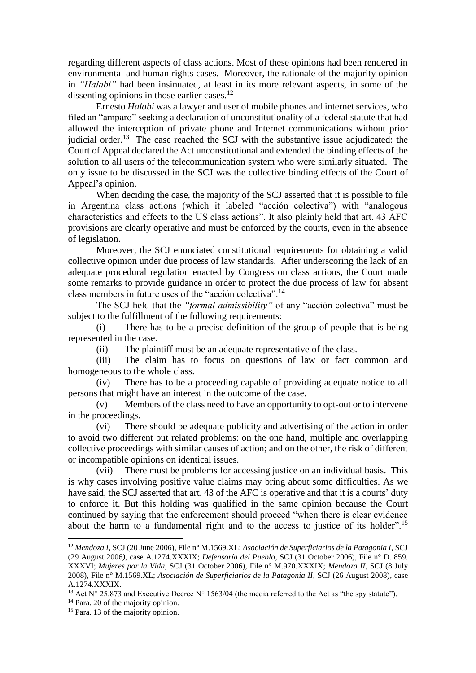regarding different aspects of class actions. Most of these opinions had been rendered in environmental and human rights cases. Moreover, the rationale of the majority opinion in *"Halabi"* had been insinuated, at least in its more relevant aspects, in some of the dissenting opinions in those earlier cases.<sup>12</sup>

Ernesto *Halabi* was a lawyer and user of mobile phones and internet services, who filed an "amparo" seeking a declaration of unconstitutionality of a federal statute that had allowed the interception of private phone and Internet communications without prior judicial order.<sup>13</sup> The case reached the SCJ with the substantive issue adjudicated: the Court of Appeal declared the Act unconstitutional and extended the binding effects of the solution to all users of the telecommunication system who were similarly situated. The only issue to be discussed in the SCJ was the collective binding effects of the Court of Appeal's opinion.

When deciding the case, the majority of the SCJ asserted that it is possible to file in Argentina class actions (which it labeled "acción colectiva") with "analogous characteristics and effects to the US class actions". It also plainly held that art. 43 AFC provisions are clearly operative and must be enforced by the courts, even in the absence of legislation.

Moreover, the SCJ enunciated constitutional requirements for obtaining a valid collective opinion under due process of law standards. After underscoring the lack of an adequate procedural regulation enacted by Congress on class actions, the Court made some remarks to provide guidance in order to protect the due process of law for absent class members in future uses of the "acción colectiva".<sup>14</sup>

The SCJ held that the *"formal admissibility"* of any "acción colectiva" must be subject to the fulfillment of the following requirements:

(i) There has to be a precise definition of the group of people that is being represented in the case.

(ii) The plaintiff must be an adequate representative of the class.

(iii) The claim has to focus on questions of law or fact common and homogeneous to the whole class.

(iv) There has to be a proceeding capable of providing adequate notice to all persons that might have an interest in the outcome of the case.

(v) Members of the class need to have an opportunity to opt-out or to intervene in the proceedings.

(vi) There should be adequate publicity and advertising of the action in order to avoid two different but related problems: on the one hand, multiple and overlapping collective proceedings with similar causes of action; and on the other, the risk of different or incompatible opinions on identical issues.

(vii) There must be problems for accessing justice on an individual basis. This is why cases involving positive value claims may bring about some difficulties. As we have said, the SCJ asserted that art. 43 of the AFC is operative and that it is a courts' duty to enforce it. But this holding was qualified in the same opinion because the Court continued by saying that the enforcement should proceed "when there is clear evidence about the harm to a fundamental right and to the access to justice of its holder".<sup>15</sup>

1

<sup>12</sup> *Mendoza I,* SCJ (20 June 2006), File n° M.1569.XL; *Asociación de Superficiarios de la Patagonia I,* SCJ (29 August 2006*)*, case A.1274.XXXIX; *Defensoría del Pueblo*, SCJ (31 October 2006), File n° D. 859. XXXVI; *Mujeres por la Vida*, SCJ (31 October 2006), File n° M.970.XXXIX; *Mendoza II*, SCJ (8 July 2008), File n° M.1569.XL; *Asociación de Superficiarios de la Patagonia II*, SCJ (26 August 2008)*,* case A.1274.XXXIX.

<sup>&</sup>lt;sup>13</sup> Act N° 25.873 and Executive Decree N° 1563/04 (the media referred to the Act as "the spy statute").

<sup>&</sup>lt;sup>14</sup> Para. 20 of the majority opinion.

<sup>&</sup>lt;sup>15</sup> Para. 13 of the majority opinion.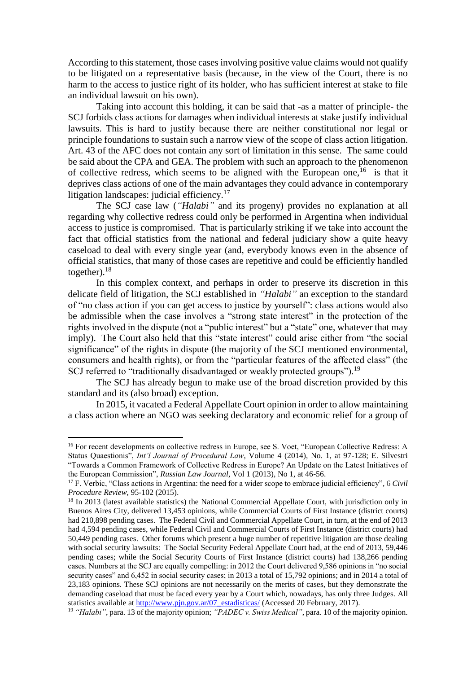According to this statement, those cases involving positive value claims would not qualify to be litigated on a representative basis (because, in the view of the Court, there is no harm to the access to justice right of its holder, who has sufficient interest at stake to file an individual lawsuit on his own).

Taking into account this holding, it can be said that -as a matter of principle- the SCJ forbids class actions for damages when individual interests at stake justify individual lawsuits. This is hard to justify because there are neither constitutional nor legal or principle foundations to sustain such a narrow view of the scope of class action litigation. Art. 43 of the AFC does not contain any sort of limitation in this sense. The same could be said about the CPA and GEA. The problem with such an approach to the phenomenon of collective redress, which seems to be aligned with the European one,  $16$  is that it deprives class actions of one of the main advantages they could advance in contemporary litigation landscapes: judicial efficiency.<sup>17</sup>

The SCJ case law (*"Halabi"* and its progeny) provides no explanation at all regarding why collective redress could only be performed in Argentina when individual access to justice is compromised. That is particularly striking if we take into account the fact that official statistics from the national and federal judiciary show a quite heavy caseload to deal with every single year (and, everybody knows even in the absence of official statistics, that many of those cases are repetitive and could be efficiently handled together). $18$ 

In this complex context, and perhaps in order to preserve its discretion in this delicate field of litigation, the SCJ established in *"Halabi"* an exception to the standard of "no class action if you can get access to justice by yourself": class actions would also be admissible when the case involves a "strong state interest" in the protection of the rights involved in the dispute (not a "public interest" but a "state" one, whatever that may imply). The Court also held that this "state interest" could arise either from "the social significance" of the rights in dispute (the majority of the SCJ mentioned environmental, consumers and health rights), or from the "particular features of the affected class" (the SCJ referred to "traditionally disadvantaged or weakly protected groups").<sup>19</sup>

The SCJ has already begun to make use of the broad discretion provided by this standard and its (also broad) exception.

In 2015, it vacated a Federal Appellate Court opinion in order to allow maintaining a class action where an NGO was seeking declaratory and economic relief for a group of

**.** 

<sup>&</sup>lt;sup>16</sup> For recent developments on collective redress in Europe, see S. Voet, "European Collective Redress: A Status Quaestionis", *Int'l Journal of Procedural Law*, Volume 4 (2014), No. 1, at 97-128; E. Silvestri "Towards a Common Framework of Collective Redress in Europe? An Update on the Latest Initiatives of the European Commission", *Russian Law Journal*, Vol 1 (2013), No 1, at 46-56.

<sup>17</sup> F. Verbic, "Class actions in Argentina: the need for a wider scope to embrace judicial efficiency"*,* 6 *Civil Procedure Review*, 95-102 (2015).

<sup>&</sup>lt;sup>18</sup> In 2013 (latest available statistics) the National Commercial Appellate Court, with jurisdiction only in Buenos Aires City, delivered 13,453 opinions, while Commercial Courts of First Instance (district courts) had 210,898 pending cases. The Federal Civil and Commercial Appellate Court, in turn, at the end of 2013 had 4,594 pending cases, while Federal Civil and Commercial Courts of First Instance (district courts) had 50,449 pending cases. Other forums which present a huge number of repetitive litigation are those dealing with social security lawsuits: The Social Security Federal Appellate Court had, at the end of 2013, 59,446 pending cases; while the Social Security Courts of First Instance (district courts) had 138,266 pending cases. Numbers at the SCJ are equally compelling: in 2012 the Court delivered 9,586 opinions in "no social security cases" and 6,452 in social security cases; in 2013 a total of 15,792 opinions; and in 2014 a total of 23,183 opinions. These SCJ opinions are not necessarily on the merits of cases, but they demonstrate the demanding caseload that must be faced every year by a Court which, nowadays, has only three Judges. All statistics available at [http://www.pjn.gov.ar/07\\_estadisticas/](http://www.pjn.gov.ar/07_estadisticas/) (Accessed 20 February, 2017).

<sup>19</sup> *"Halabi"*, para. 13 of the majority opinion; *"PADEC v. Swiss Medical"*, para. 10 of the majority opinion.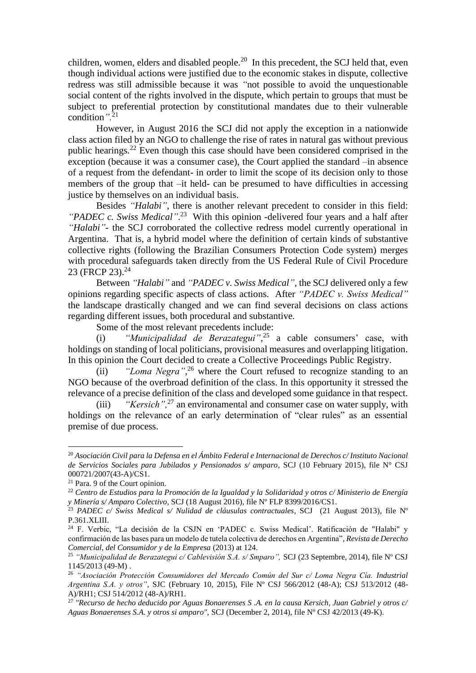children, women, elders and disabled people. $^{20}$  In this precedent, the SCJ held that, even though individual actions were justified due to the economic stakes in dispute, collective redress was still admissible because it was *"*not possible to avoid the unquestionable social content of the rights involved in the dispute, which pertain to groups that must be subject to preferential protection by constitutional mandates due to their vulnerable condition*".*<sup>21</sup>

However, in August 2016 the SCJ did not apply the exception in a nationwide class action filed by an NGO to challenge the rise of rates in natural gas without previous public hearings.<sup>22</sup> Even though this case should have been considered comprised in the exception (because it was a consumer case), the Court applied the standard –in absence of a request from the defendant- in order to limit the scope of its decision only to those members of the group that –it held- can be presumed to have difficulties in accessing justice by themselves on an individual basis.

Besides *"Halabi"*, there is another relevant precedent to consider in this field: *"PADEC c. Swiss Medical"*. 23 With this opinion -delivered four years and a half after *"Halabi"-* the SCJ corroborated the collective redress model currently operational in Argentina. That is, a hybrid model where the definition of certain kinds of substantive collective rights (following the Brazilian Consumers Protection Code system) merges with procedural safeguards taken directly from the US Federal Rule of Civil Procedure 23 (FRCP 23).<sup>24</sup>

Between *"Halabi"* and *"PADEC v. Swiss Medical",* the SCJ delivered only a few opinions regarding specific aspects of class actions. After *"PADEC v. Swiss Medical"* the landscape drastically changed and we can find several decisions on class actions regarding different issues, both procedural and substantive.

Some of the most relevant precedents include:

(i) *"Municipalidad de Berazategui"*, <sup>25</sup> a cable consumers' case, with holdings on standing of local politicians, provisional measures and overlapping litigation. In this opinion the Court decided to create a Collective Proceedings Public Registry.

(ii) *"Loma Negra"*, <sup>26</sup> where the Court refused to recognize standing to an NGO because of the overbroad definition of the class. In this opportunity it stressed the relevance of a precise definition of the class and developed some guidance in that respect.

(iii) *"Kersich",*<sup>27</sup> an environamental and consumer case on water supply, with holdings on the relevance of an early determination of "clear rules" as an essential premise of due process.

**.** 

<sup>20</sup> *Asociación Civil para la Defensa en el Ámbito Federal e Internacional de Derechos c/ Instituto Nacional de Servicios Sociales para Jubilados y Pensionados s/ amparo*, SCJ (10 February 2015), file N° CSJ 000721/2007(43-A)/CS1.

<sup>21</sup> Para. 9 of the Court opinion.

<sup>22</sup> *Centro de Estudios para la Promoción de la Igualdad y la Solidaridad y otros c/ Ministerio de Energía y Minería s/ Amparo Colectivo*, SCJ (18 August 2016), file Nº FLP 8399/2016/CS1.

<sup>23</sup> *PADEC c/ Swiss Medical s/ Nulidad de cláusulas contractuales*, SCJ (21 August 2013), file Nº P.361.XLIII.

<sup>24</sup> F. Verbic, "La decisión de la CSJN en 'PADEC c. Swiss Medical'. Ratificación de "Halabi" y confirmación de las bases para un modelo de tutela colectiva de derechos en Argentina", *Revista de Derecho Comercial, del Consumidor y de la Empresa* (2013) at 124.

<sup>25</sup> *"Municipalidad de Berazategui c/ Cablevisión S.A. s/ Smparo",* SCJ (23 Septembre, 2014), file Nº CSJ 1145/2013 (49-M) .

<sup>26</sup> *"Asociación Protección Consumidores del Mercado Común del Sur c/ Loma Negra Cía. Industrial Argentina S.A. y otros"*, SJC (February 10, 2015), File Nº CSJ 566/2012 (48-A); CSJ 513/2012 (48- A)/RH1; CSJ 514/2012 (48-A)/RH1.

<sup>27</sup> *"Recurso de hecho deducido por Aguas Bonaerenses S .A. en la causa Kersich, Juan Gabriel y otros c/ Aguas Bonaerenses S.A. y otros si amparo",* SCJ (December 2, 2014), file Nº CSJ 42/2013 (49-K).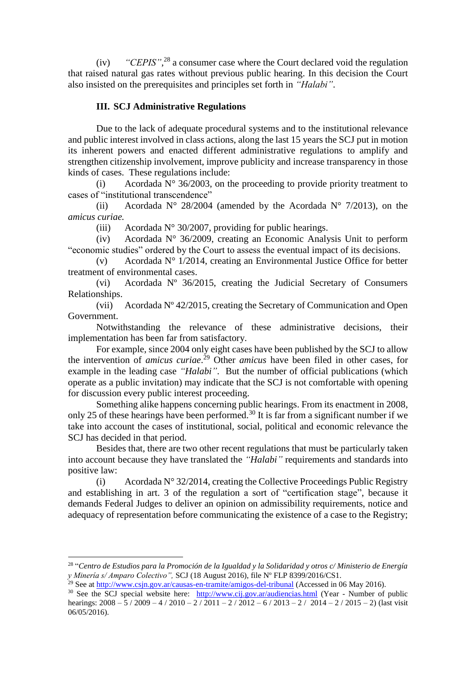(iv) *"CEPIS"*, <sup>28</sup> a consumer case where the Court declared void the regulation that raised natural gas rates without previous public hearing. In this decision the Court also insisted on the prerequisites and principles set forth in *"Halabi"*.

## **III. SCJ Administrative Regulations**

Due to the lack of adequate procedural systems and to the institutional relevance and public interest involved in class actions, along the last 15 years the SCJ put in motion its inherent powers and enacted different administrative regulations to amplify and strengthen citizenship involvement, improve publicity and increase transparency in those kinds of cases. These regulations include:

(i) Acordada  $N^{\circ}$  36/2003, on the proceeding to provide priority treatment to cases of "institutional transcendence"

(ii) Acordada N° 28/2004 (amended by the Acordada N° 7/2013), on the *amicus curiae.*

(iii) Acordada N° 30/2007, providing for public hearings.

(iv) Acordada N° 36/2009, creating an Economic Analysis Unit to perform "economic studies" ordered by the Court to assess the eventual impact of its decisions.

(v) Acordada  $N^{\circ}$  1/2014, creating an Environmental Justice Office for better treatment of environmental cases.

(vi) Acordada Nº 36/2015, creating the Judicial Secretary of Consumers Relationships.

(vii) Acordada Nº 42/2015, creating the Secretary of Communication and Open Government.

Notwithstanding the relevance of these administrative decisions, their implementation has been far from satisfactory.

For example, since 2004 only eight cases have been published by the SCJ to allow the intervention of *amicus curiae*. <sup>29</sup> Other *amicus* have been filed in other cases, for example in the leading case *"Halabi"*. But the number of official publications (which operate as a public invitation) may indicate that the SCJ is not comfortable with opening for discussion every public interest proceeding.

Something alike happens concerning public hearings. From its enactment in 2008, only 25 of these hearings have been performed.<sup>30</sup> It is far from a significant number if we take into account the cases of institutional, social, political and economic relevance the SCJ has decided in that period.

Besides that, there are two other recent regulations that must be particularly taken into account because they have translated the *"Halabi"* requirements and standards into positive law:

(i) Acordada  $N^{\circ}$  32/2014, creating the Collective Proceedings Public Registry and establishing in art. 3 of the regulation a sort of "certification stage", because it demands Federal Judges to deliver an opinion on admissibility requirements, notice and adequacy of representation before communicating the existence of a case to the Registry;

 $\overline{\phantom{a}}$ 

<sup>28</sup> "*Centro de Estudios para la Promoción de la Igualdad y la Solidaridad y otros c/ Ministerio de Energía y Minería s/ Amparo Colectivo",* SCJ (18 August 2016), file Nº FLP 8399/2016/CS1.

<sup>&</sup>lt;sup>29</sup> See a[t http://www.csjn.gov.ar/causas-en-tramite/amigos-del-tribunal](http://www.csjn.gov.ar/causas-en-tramite/amigos-del-tribunal) (Accessed in 06 May 2016).

<sup>&</sup>lt;sup>30</sup> See the SCJ special website here: [http://www.cij.gov.ar/audiencias.html](http://www.cij.gov.ar/audiencias.htmlY) (Year - Number of public hearings:  $2008 - 5/2009 - 4/2010 - 2/2011 - 2/2012 - 6/2013 - 2/2014 - 2/2015 - 2$ ) (last visit 06/05/2016).